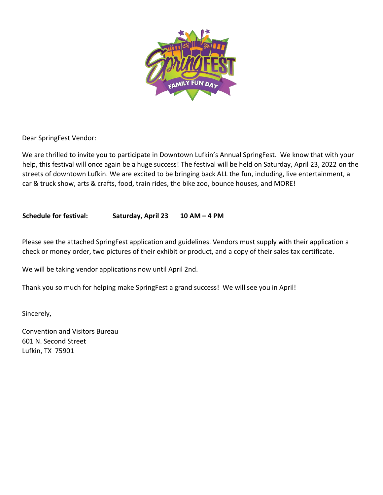

Dear SpringFest Vendor:

We are thrilled to invite you to participate in Downtown Lufkin's Annual SpringFest. We know that with your help, this festival will once again be a huge success! The festival will be held on Saturday, April 23, 2022 on the streets of downtown Lufkin. We are excited to be bringing back ALL the fun, including, live entertainment, a car & truck show, arts & crafts, food, train rides, the bike zoo, bounce houses, and MORE!

#### **Schedule for festival: Saturday, April 23 10 AM – 4 PM**

Please see the attached SpringFest application and guidelines. Vendors must supply with their application a check or money order, two pictures of their exhibit or product, and a copy of their sales tax certificate.

We will be taking vendor applications now until April 2nd.

Thank you so much for helping make SpringFest a grand success! We will see you in April!

Sincerely,

Convention and Visitors Bureau 601 N. Second Street Lufkin, TX 75901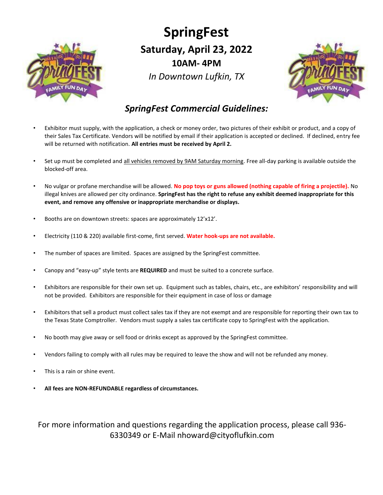

# **SpringFest Saturday, April 23, 2022 10AM- 4PM** *In Downtown Lufkin, TX*



### *SpringFest Commercial Guidelines:*

- Exhibitor must supply, with the application, a check or money order, two pictures of their exhibit or product, and a copy of their Sales Tax Certificate. Vendors will be notified by email if their application is accepted or declined. If declined, entry fee will be returned with notification. **All entries must be received by April 2.**
- Set up must be completed and all vehicles removed by 9AM Saturday morning. Free all-day parking is available outside the blocked-off area.
- No vulgar or profane merchandise will be allowed. **No pop toys or guns allowed (nothing capable of firing a projectile).** No illegal knives are allowed per city ordinance. **SpringFest has the right to refuse any exhibit deemed inappropriate for this event, and remove any offensive or inappropriate merchandise or displays.**
- Booths are on downtown streets: spaces are approximately 12'x12'.
- Electricity (110 & 220) available first-come, first served. **Water hook-ups are not available.**
- The number of spaces are limited. Spaces are assigned by the SpringFest committee.
- Canopy and "easy-up" style tents are **REQUIRED** and must be suited to a concrete surface.
- Exhibitors are responsible for their own set up. Equipment such as tables, chairs, etc., are exhibitors' responsibility and will not be provided. Exhibitors are responsible for their equipment in case of loss or damage
- Exhibitors that sell a product must collect sales tax if they are not exempt and are responsible for reporting their own tax to the Texas State Comptroller. Vendors must supply a sales tax certificate copy to SpringFest with the application.
- No booth may give away or sell food or drinks except as approved by the SpringFest committee.
- Vendors failing to comply with all rules may be required to leave the show and will not be refunded any money.
- This is a rain or shine event.
- **All fees are NON-REFUNDABLE regardless of circumstances.**

For more information and questions regarding the application process, please call 936- 6330349 or E-Mail nhoward@cityoflufkin.com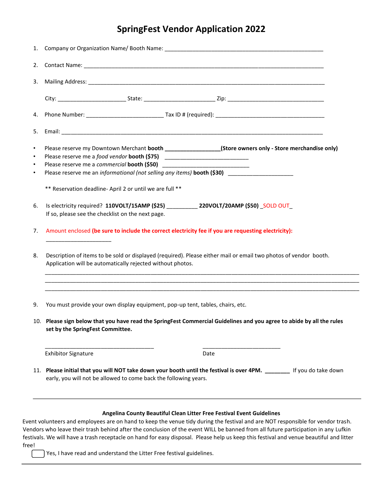# **SpringFest Vendor Application 2022**

| 3.                                               |                                                                                                                                                                                            |  |
|--------------------------------------------------|--------------------------------------------------------------------------------------------------------------------------------------------------------------------------------------------|--|
|                                                  |                                                                                                                                                                                            |  |
| 4.                                               |                                                                                                                                                                                            |  |
| 5.                                               |                                                                                                                                                                                            |  |
| $\bullet$<br>$\bullet$<br>$\bullet$<br>$\bullet$ | Please reserve my Downtown Merchant booth __________________(Store owners only - Store merchandise only)<br>Please reserve me an informational (not selling any items) booth (\$30)        |  |
|                                                  | ** Reservation deadline-April 2 or until we are full **                                                                                                                                    |  |
| 6.                                               | Is electricity required? 110VOLT/15AMP (\$25) ____________ 220VOLT/20AMP (\$50) _SOLD OUT_<br>If so, please see the checklist on the next page.                                            |  |
| 7.                                               | Amount enclosed (be sure to include the correct electricity fee if you are requesting electricity):                                                                                        |  |
| 8.                                               | Description of items to be sold or displayed (required). Please either mail or email two photos of vendor booth.<br>Application will be automatically rejected without photos.             |  |
| 9.                                               | You must provide your own display equipment, pop-up tent, tables, chairs, etc.                                                                                                             |  |
|                                                  | 10. Please sign below that you have read the SpringFest Commercial Guidelines and you agree to abide by all the rules<br>set by the SpringFest Committee.                                  |  |
|                                                  | <b>Exhibitor Signature</b><br>Date                                                                                                                                                         |  |
|                                                  | 11. Please initial that you will NOT take down your booth until the festival is over 4PM. ________ If you do take down<br>early, you will not be allowed to come back the following years. |  |
|                                                  |                                                                                                                                                                                            |  |

#### **Angelina County Beautiful Clean Litter Free Festival Event Guidelines**

Event volunteers and employees are on hand to keep the venue tidy during the festival and are NOT responsible for vendor trash. Vendors who leave their trash behind after the conclusion of the event WILL be banned from all future participation in any Lufkin festivals. We will have a trash receptacle on hand for easy disposal. Please help us keep this festival and venue beautiful and litter free!

Yes, I have read and understand the Litter Free festival guidelines.